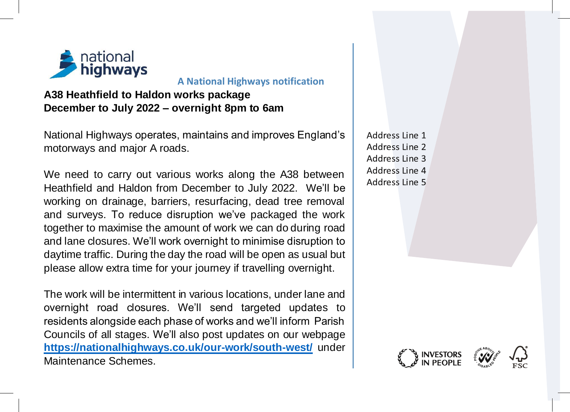

## **A National Highways notification**

**A38 Heathfield to Haldon works package December to July 2022 – overnight 8pm to 6am**

National Highways operates, maintains and improves England's motorways and major A roads.

We need to carry out various works along the A38 between Heathfield and Haldon from December to July 2022. We'll be working on drainage, barriers, resurfacing, dead tree removal and surveys. To reduce disruption we've packaged the work together to maximise the amount of work we can do during road and lane closures. We'll work overnight to minimise disruption to daytime traffic. During the day the road will be open as usual but please allow extra time for your journey if travelling overnight.

The work will be intermittent in various locations, under lane and overnight road closures. We'll send targeted updates to residents alongside each phase of works and we'll inform Parish Councils of all stages. We'll also post updates on our webpage **<https://nationalhighways.co.uk/our-work/south-west/>** under Maintenance Schemes.

Address Line 1 Address Line 2 Address Line 3 Address Line 4 Address Line 5